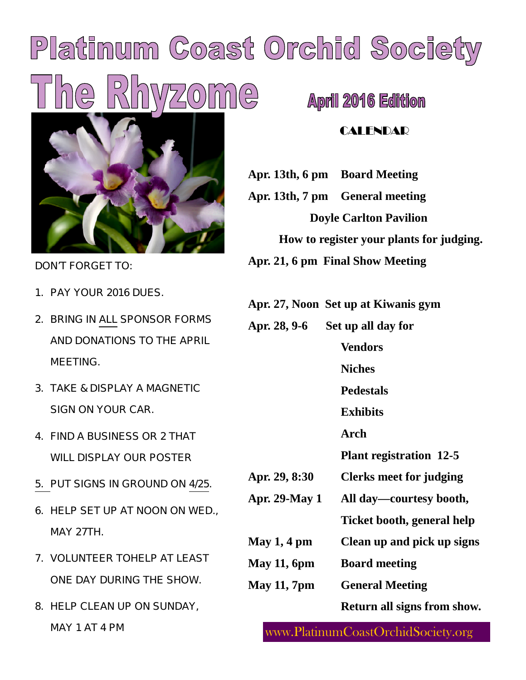# Platinum Coast Orchid Society  $\frac{1}{2}$ **April 2016 Edition**



DON'T FORGET TO:

- 1. PAY YOUR 2016 DUES.
- 2. BRING IN ALL SPONSOR FORMS AND DONATIONS TO THE APRIL MEETING.
- 3. TAKE & DISPLAY A MAGNETIC SIGN ON YOUR CAR.
- 4. FIND A BUSINESS OR 2 THAT WILL DISPLAY OUR POSTER
- 5. PUT SIGNS IN GROUND ON 4/25.
- 6. HELP SET UP AT NOON ON WED., MAY 27TH.
- 7. VOLUNTEER TOHELP AT LEAST ONE DAY DURING THE SHOW.
- 8. HELP CLEAN UP ON SUNDAY, MAY 1 AT 4 PM

#### **CALENDAR**

**Apr. 13th, 6 pm Board Meeting**

**Apr. 13th, 7 pm General meeting Doyle Carlton Pavilion**

**How to register your plants for judging.**

**Apr. 21, 6 pm Final Show Meeting**

| Apr. 27, Noon Set up at Kiwanis gym |  |
|-------------------------------------|--|
|-------------------------------------|--|

| Apr. 28, 9-6         | Set up all day for             |
|----------------------|--------------------------------|
|                      | <b>Vendors</b>                 |
|                      | <b>Niches</b>                  |
|                      | <b>Pedestals</b>               |
|                      | <b>Exhibits</b>                |
|                      | Arch                           |
|                      | <b>Plant registration 12-5</b> |
| Apr. 29, 8:30        | <b>Clerks meet for judging</b> |
| <b>Apr. 29-May 1</b> | All day—courtesy booth,        |
|                      | Ticket booth, general help     |
| May $1, 4$ pm        | Clean up and pick up signs     |
| May $11,6$ pm        | <b>Board meeting</b>           |
| <b>May 11, 7pm</b>   | <b>General Meeting</b>         |
|                      | Return all signs from show.    |

www.PlatinumCoastOrchidSociety.org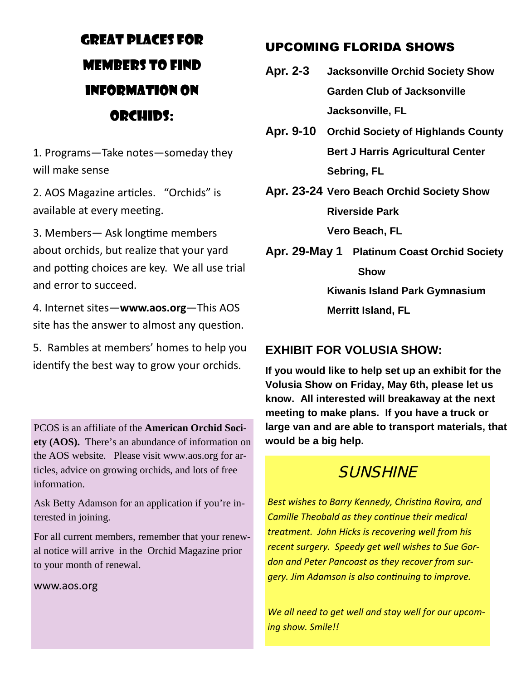# GREAT PLACES FOR MEMBERS TO FIND INFORMATION ON ORCHIDS:

1. Programs—Take notes—someday they will make sense

2. AOS Magazine articles. "Orchids" is available at every meeting.

3. Members - Ask longtime members about orchids, but realize that your yard and potting choices are key. We all use trial and error to succeed.

4. Internet sites—**www.aos.org**—This AOS site has the answer to almost any question.

5. Rambles at members' homes to help you identify the best way to grow your orchids.

PCOS is an affiliate of the **American Orchid Society (AOS).** There's an abundance of information on the AOS website. Please visit www.aos.org for articles, advice on growing orchids, and lots of free information.

Ask Betty Adamson for an application if you're interested in joining.

For all current members, remember that your renewal notice will arrive in the Orchid Magazine prior to your month of renewal.

www.aos.org

#### UPCOMING FLORIDA SHOWS

- **Apr. 2-3 Jacksonville Orchid Society Show Garden Club of Jacksonville Jacksonville, FL**
- **Apr. 9-10 Orchid Society of Highlands County Bert J Harris Agricultural Center Sebring, FL**
- **Apr. 23-24 Vero Beach Orchid Society Show Riverside Park**

**Vero Beach, FL**

**Apr. 29-May 1 Platinum Coast Orchid Society Show Kiwanis Island Park Gymnasium**

**Merritt Island, FL**

#### **EXHIBIT FOR VOLUSIA SHOW:**

**If you would like to help set up an exhibit for the Volusia Show on Friday, May 6th, please let us know. All interested will breakaway at the next meeting to make plans. If you have a truck or large van and are able to transport materials, that would be a big help.**

## **SUNSHINE**

**Best wishes to Barry Kennedy, Christina Rovira, and** *Camille Theobald as they continue their medical treatment. John Hicks is recovering well from his recent surgery. Speedy get well wishes to Sue Gordon and Peter Pancoast as they recover from sur-Gery. Jim Adamson is also continuing to improve.* 

*We all need to get well and stay well for our upcoming show. Smile!!*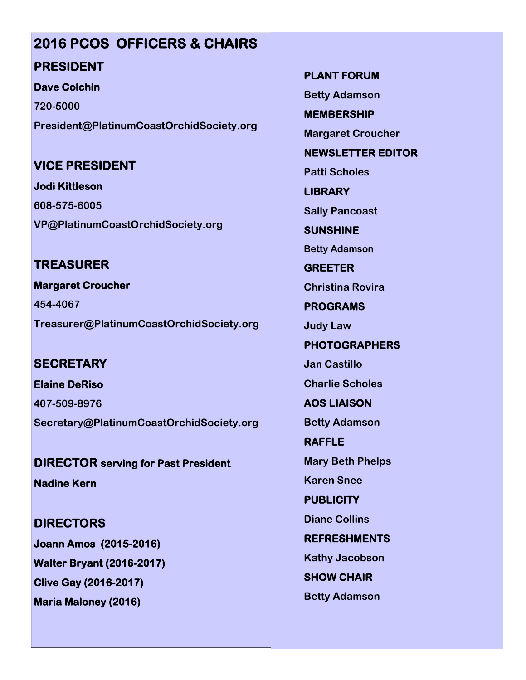# **2016 PCOS OFFICERS & CHAIRS**

#### **PRESIDENT**

**Dave Colchin**

**720-5000 President@PlatinumCoastOrchidSociety.org**

#### **VICE PRESIDENT**

**Jodi Kittleson 608-575-6005 VP@PlatinumCoastOrchidSociety.org**

#### **TREASURER**

**Margaret Croucher 454-4067 Treasurer@PlatinumCoastOrchidSociety.org**

#### **SECRETARY**

**Elaine DeRiso 407-509-8976 Secretary@PlatinumCoastOrchidSociety.org**

**DIRECTOR serving for Past President Nadine Kern**

**DIRECTORS Joann Amos (2015-2016) Walter Bryant (2016-2017) Clive Gay (2016-2017) Maria Maloney (2016)**

**PLANT FORUM**

**Betty Adamson**

**MEMBERSHIP**

**Margaret Croucher**

**NEWSLETTER EDITOR**

**Patti Scholes**

**LIBRARY**

**Sally Pancoast**

**SUNSHINE**

**Betty Adamson**

**GREETER Christina Rovira**

**PROGRAMS**

**Judy Law**

**PHOTOGRAPHERS Jan Castillo**

**Charlie Scholes**

**AOS LIAISON**

**Betty Adamson**

**RAFFLE Mary Beth Phelps Karen Snee**

**PUBLICITY**

**Diane Collins**

**REFRESHMENTS**

**Kathy Jacobson**

**SHOW CHAIR**

**Betty Adamson**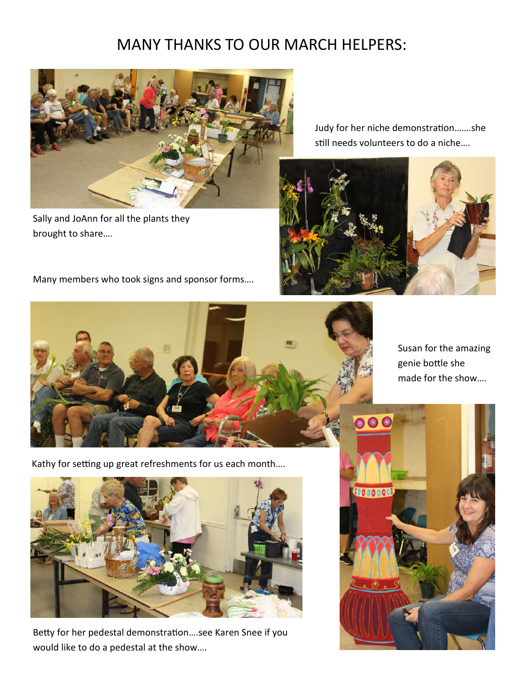### MANY THANKS TO OUR MARCH HELPERS:



Sally and JoAnn for all the plants they brought to share….

Judy for her niche demonstration.......she still needs volunteers to do a niche....



0.0.00

Susan for the amazing genie bottle she

made for the show….

Many members who took signs and sponsor forms….



Kathy for setting up great refreshments for us each month....



Betty for her pedestal demonstration....see Karen Snee if you would like to do a pedestal at the show….